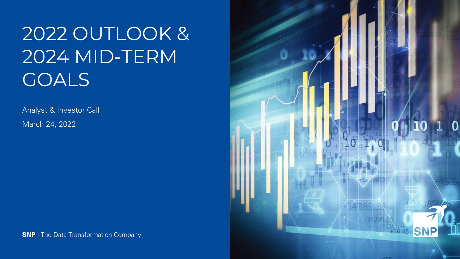# 2022 OUTLOOK & 2024 MID-TERM GOALS

Analyst & Investor Call March 24, 2022



**SNP** I The Data Transformation Company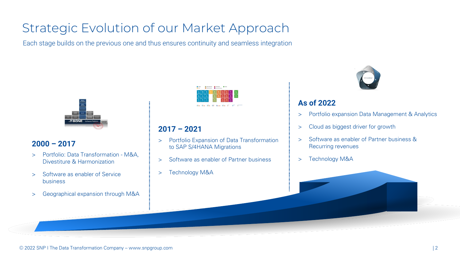### Strategic Evolution of our Market Approach

Each stage builds on the previous one and thus ensures continuity and seamless integration



#### **2000 – 2017**

- > Portfolio: Data Transformation M&A, Divestiture & Harmonization
- > Software as enabler of Service business
- > Geographical expansion through M&A



#### **2017 – 2021**

- > Portfolio Expansion of Data Transformation to SAP S/4HANA Migrations
- > Software as enabler of Partner business
- > Technology M&A



#### **As of 2022**

- > Portfolio expansion Data Management & Analytics
- > Cloud as biggest driver for growth
- > Software as enabler of Partner business & Recurring revenues
- > Technology M&A

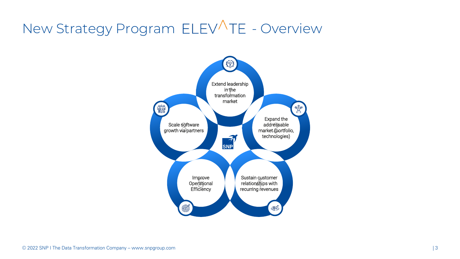## New Strategy Program ELEVATE - Overview

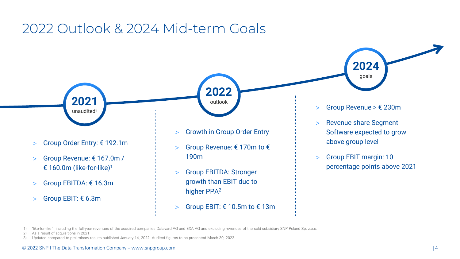#### 2022 Outlook & 2024 Mid-term Goals

- **2021** unaudited<sup>3</sup>
- > Group Order Entry: € 192.1m
- > Group Revenue: € 167.0m / € 160.0m (like-for-like)<sup>1</sup>
- > Group EBITDA: € 16.3m
- > Group EBIT: € 6.3m



**2022**

outlook

- > Group Revenue: € 170m to € 190m
- > Group EBITDA: Stronger growth than EBIT due to higher PPA<sup>2</sup>
- > Group EBIT:  $€ 10.5m$  to  $€ 13m$

> Group Revenue >  $€ 230m$ 

**2024**

goals

- > Revenue share Segment Software expected to grow above group level
- > Group EBIT margin: 10 percentage points above 2021

2) As a result of acquisitions in 2021

3) Updated compared to preliminary results published January 14, 2022. Audited figures to be presented March 30, 2022.

<sup>1)</sup> "like-for-like": including the full-year revenues of the acquired companies Datavard AG and EXA AG and excluding revenues of the sold subsidiary SNP Poland Sp. z.o.o.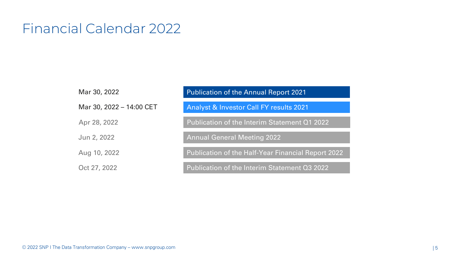### Financial Calendar 2022

| Mar 30, 2022             | <b>Publication of the Annual Report 2021</b>              |
|--------------------------|-----------------------------------------------------------|
| Mar 30, 2022 - 14:00 CET | <b>Analyst &amp; Investor Call FY results 2021</b>        |
| Apr 28, 2022             | Publication of the Interim Statement Q1 2022              |
| Jun 2, 2022              | <b>Annual General Meeting 2022</b>                        |
| Aug 10, 2022             | <b>Publication of the Half-Year Financial Report 2022</b> |
| Oct 27, 2022             | Publication of the Interim Statement Q3 2022              |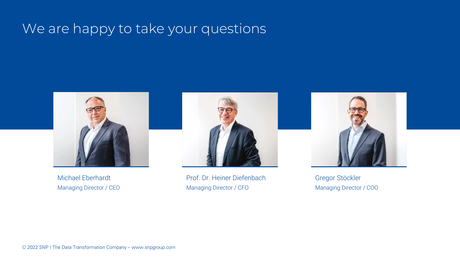### We are happy to take your questions



Michael Eberhardt Managing Director / CEO



Prof. Dr. Heiner Diefenbach Managing Director / CFO



Gregor Stöckler Managing Director / COO